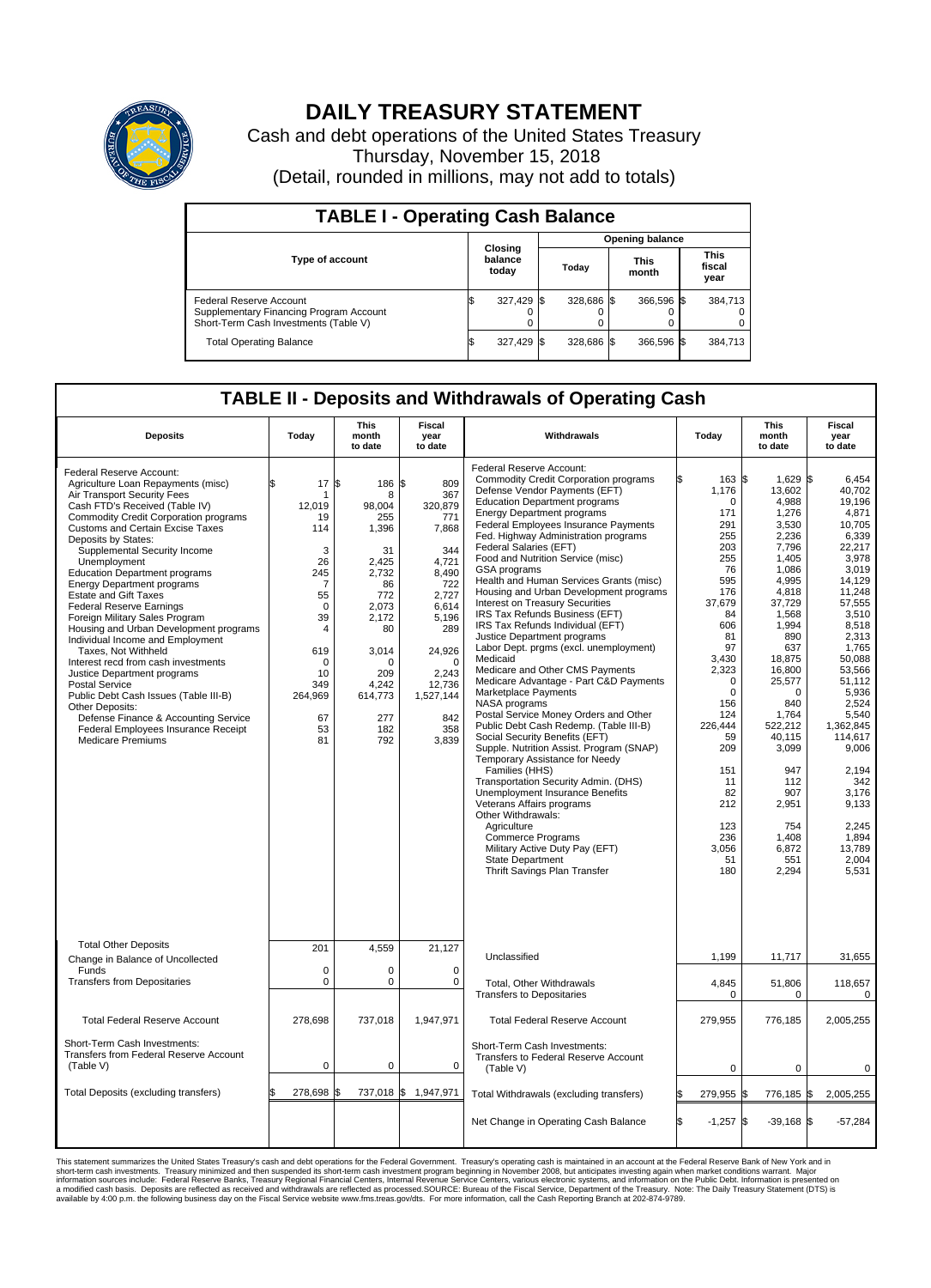

## **DAILY TREASURY STATEMENT**

Cash and debt operations of the United States Treasury Thursday, November 15, 2018 (Detail, rounded in millions, may not add to totals)

| <b>TABLE I - Operating Cash Balance</b>                                                                     |                             |            |                        |            |                      |            |  |                               |  |  |
|-------------------------------------------------------------------------------------------------------------|-----------------------------|------------|------------------------|------------|----------------------|------------|--|-------------------------------|--|--|
|                                                                                                             | Closing<br>balance<br>today |            | <b>Opening balance</b> |            |                      |            |  |                               |  |  |
| Type of account                                                                                             |                             |            | Today                  |            | <b>This</b><br>month |            |  | <b>This</b><br>fiscal<br>year |  |  |
| Federal Reserve Account<br>Supplementary Financing Program Account<br>Short-Term Cash Investments (Table V) |                             | 327,429 \$ |                        | 328.686 \$ |                      | 366.596 \$ |  | 384,713                       |  |  |
| <b>Total Operating Balance</b>                                                                              | ß.                          | 327,429 \$ |                        | 328,686 \$ |                      | 366,596 \$ |  | 384,713                       |  |  |

## **TABLE II - Deposits and Withdrawals of Operating Cash**

| <b>Deposits</b>                                                                                                                                                                                                                                                                                                                                                                                                                                                                                                                                                                                                                                                                                                                                                                                                                                                | Today                                                                                                                                                                   | <b>This</b><br>month<br>to date                                                                                                                                      | <b>Fiscal</b><br>year<br>to date                                                                                                                                                           | Withdrawals                                                                                                                                                                                                                                                                                                                                                                                                                                                                                                                                                                                                                                                                                                                                                                                                                                                                                                                                                                                                                                                                                                                                                                                                                                               | Today                                                                                                                                                                                                                                                                     | <b>This</b><br>month<br>to date                                                                                                                                                                                                                                                                         | <b>Fiscal</b><br>year<br>to date                                                                                                                                                                                                                                                                                              |  |  |
|----------------------------------------------------------------------------------------------------------------------------------------------------------------------------------------------------------------------------------------------------------------------------------------------------------------------------------------------------------------------------------------------------------------------------------------------------------------------------------------------------------------------------------------------------------------------------------------------------------------------------------------------------------------------------------------------------------------------------------------------------------------------------------------------------------------------------------------------------------------|-------------------------------------------------------------------------------------------------------------------------------------------------------------------------|----------------------------------------------------------------------------------------------------------------------------------------------------------------------|--------------------------------------------------------------------------------------------------------------------------------------------------------------------------------------------|-----------------------------------------------------------------------------------------------------------------------------------------------------------------------------------------------------------------------------------------------------------------------------------------------------------------------------------------------------------------------------------------------------------------------------------------------------------------------------------------------------------------------------------------------------------------------------------------------------------------------------------------------------------------------------------------------------------------------------------------------------------------------------------------------------------------------------------------------------------------------------------------------------------------------------------------------------------------------------------------------------------------------------------------------------------------------------------------------------------------------------------------------------------------------------------------------------------------------------------------------------------|---------------------------------------------------------------------------------------------------------------------------------------------------------------------------------------------------------------------------------------------------------------------------|---------------------------------------------------------------------------------------------------------------------------------------------------------------------------------------------------------------------------------------------------------------------------------------------------------|-------------------------------------------------------------------------------------------------------------------------------------------------------------------------------------------------------------------------------------------------------------------------------------------------------------------------------|--|--|
| Federal Reserve Account:<br>Agriculture Loan Repayments (misc)<br>Air Transport Security Fees<br>Cash FTD's Received (Table IV)<br><b>Commodity Credit Corporation programs</b><br><b>Customs and Certain Excise Taxes</b><br>Deposits by States:<br>Supplemental Security Income<br>Unemployment<br><b>Education Department programs</b><br><b>Energy Department programs</b><br><b>Estate and Gift Taxes</b><br><b>Federal Reserve Earnings</b><br>Foreign Military Sales Program<br>Housing and Urban Development programs<br>Individual Income and Employment<br>Taxes, Not Withheld<br>Interest recd from cash investments<br>Justice Department programs<br><b>Postal Service</b><br>Public Debt Cash Issues (Table III-B)<br>Other Deposits:<br>Defense Finance & Accounting Service<br>Federal Employees Insurance Receipt<br><b>Medicare Premiums</b> | 17<br>ፍ<br>1<br>12.019<br>19<br>114<br>3<br>26<br>245<br>$\overline{7}$<br>55<br>$\mathbf 0$<br>39<br>4<br>619<br>$\mathbf 0$<br>10<br>349<br>264,969<br>67<br>53<br>81 | l\$<br>186<br>8<br>98.004<br>255<br>1,396<br>31<br>2,425<br>2,732<br>86<br>772<br>2,073<br>2.172<br>80<br>3,014<br>n<br>209<br>4,242<br>614,773<br>277<br>182<br>792 | \$<br>809<br>367<br>320.879<br>771<br>7,868<br>344<br>4,721<br>8,490<br>722<br>2,727<br>6,614<br>5,196<br>289<br>24,926<br>$\Omega$<br>2,243<br>12,736<br>1,527,144<br>842<br>358<br>3,839 | Federal Reserve Account:<br><b>Commodity Credit Corporation programs</b><br>Defense Vendor Payments (EFT)<br><b>Education Department programs</b><br><b>Energy Department programs</b><br>Federal Employees Insurance Payments<br>Fed. Highway Administration programs<br>Federal Salaries (EFT)<br>Food and Nutrition Service (misc)<br>GSA programs<br>Health and Human Services Grants (misc)<br>Housing and Urban Development programs<br>Interest on Treasury Securities<br>IRS Tax Refunds Business (EFT)<br>IRS Tax Refunds Individual (EFT)<br>Justice Department programs<br>Labor Dept. prgms (excl. unemployment)<br>Medicaid<br>Medicare and Other CMS Payments<br>Medicare Advantage - Part C&D Payments<br>Marketplace Payments<br>NASA programs<br>Postal Service Money Orders and Other<br>Public Debt Cash Redemp. (Table III-B)<br>Social Security Benefits (EFT)<br>Supple. Nutrition Assist. Program (SNAP)<br>Temporary Assistance for Needy<br>Families (HHS)<br>Transportation Security Admin. (DHS)<br>Unemployment Insurance Benefits<br>Veterans Affairs programs<br>Other Withdrawals:<br>Agriculture<br>Commerce Programs<br>Military Active Duty Pay (EFT)<br><b>State Department</b><br><b>Thrift Savings Plan Transfer</b> | 163 \$<br>1,176<br>$\mathbf 0$<br>171<br>291<br>255<br>203<br>255<br>76<br>595<br>176<br>37,679<br>84<br>606<br>81<br>97<br>3,430<br>2,323<br>$\Omega$<br>$\mathbf 0$<br>156<br>124<br>226,444<br>59<br>209<br>151<br>11<br>82<br>212<br>123<br>236<br>3,056<br>51<br>180 | $1,629$ \$<br>13,602<br>4,988<br>1,276<br>3,530<br>2,236<br>7,796<br>1,405<br>1,086<br>4,995<br>4,818<br>37,729<br>1,568<br>1,994<br>890<br>637<br>18,875<br>16,800<br>25,577<br>0<br>840<br>1,764<br>522,212<br>40.115<br>3,099<br>947<br>112<br>907<br>2,951<br>754<br>1,408<br>6,872<br>551<br>2,294 | 6,454<br>40,702<br>19,196<br>4,871<br>10.705<br>6,339<br>22,217<br>3,978<br>3,019<br>14,129<br>11.248<br>57,555<br>3,510<br>8,518<br>2.313<br>1,765<br>50.088<br>53,566<br>51,112<br>5,936<br>2,524<br>5,540<br>1,362,845<br>114,617<br>9,006<br>2,194<br>342<br>3.176<br>9,133<br>2,245<br>1,894<br>13,789<br>2,004<br>5.531 |  |  |
| <b>Total Other Deposits</b><br>Change in Balance of Uncollected                                                                                                                                                                                                                                                                                                                                                                                                                                                                                                                                                                                                                                                                                                                                                                                                | 201                                                                                                                                                                     | 4,559                                                                                                                                                                | 21.127                                                                                                                                                                                     | Unclassified                                                                                                                                                                                                                                                                                                                                                                                                                                                                                                                                                                                                                                                                                                                                                                                                                                                                                                                                                                                                                                                                                                                                                                                                                                              | 1,199                                                                                                                                                                                                                                                                     | 11,717                                                                                                                                                                                                                                                                                                  | 31,655                                                                                                                                                                                                                                                                                                                        |  |  |
| Funds<br><b>Transfers from Depositaries</b>                                                                                                                                                                                                                                                                                                                                                                                                                                                                                                                                                                                                                                                                                                                                                                                                                    | $\mathbf 0$<br>$\mathbf 0$                                                                                                                                              | 0<br>0                                                                                                                                                               | $\mathbf 0$<br>$\mathbf 0$                                                                                                                                                                 | Total, Other Withdrawals<br><b>Transfers to Depositaries</b>                                                                                                                                                                                                                                                                                                                                                                                                                                                                                                                                                                                                                                                                                                                                                                                                                                                                                                                                                                                                                                                                                                                                                                                              | 4,845<br>0                                                                                                                                                                                                                                                                | 51,806<br>0                                                                                                                                                                                                                                                                                             | 118,657<br>0                                                                                                                                                                                                                                                                                                                  |  |  |
| <b>Total Federal Reserve Account</b>                                                                                                                                                                                                                                                                                                                                                                                                                                                                                                                                                                                                                                                                                                                                                                                                                           | 278,698                                                                                                                                                                 | 737,018                                                                                                                                                              | 1,947,971                                                                                                                                                                                  | <b>Total Federal Reserve Account</b>                                                                                                                                                                                                                                                                                                                                                                                                                                                                                                                                                                                                                                                                                                                                                                                                                                                                                                                                                                                                                                                                                                                                                                                                                      | 279,955                                                                                                                                                                                                                                                                   | 776,185                                                                                                                                                                                                                                                                                                 | 2,005,255                                                                                                                                                                                                                                                                                                                     |  |  |
| Short-Term Cash Investments:<br>Transfers from Federal Reserve Account<br>(Table V)                                                                                                                                                                                                                                                                                                                                                                                                                                                                                                                                                                                                                                                                                                                                                                            | 0                                                                                                                                                                       | 0                                                                                                                                                                    | 0                                                                                                                                                                                          | Short-Term Cash Investments:<br>Transfers to Federal Reserve Account<br>(Table V)                                                                                                                                                                                                                                                                                                                                                                                                                                                                                                                                                                                                                                                                                                                                                                                                                                                                                                                                                                                                                                                                                                                                                                         | $\mathbf 0$                                                                                                                                                                                                                                                               | $\mathbf 0$                                                                                                                                                                                                                                                                                             | 0                                                                                                                                                                                                                                                                                                                             |  |  |
| Total Deposits (excluding transfers)                                                                                                                                                                                                                                                                                                                                                                                                                                                                                                                                                                                                                                                                                                                                                                                                                           | \$<br>278,698                                                                                                                                                           | \$                                                                                                                                                                   | 737,018 \$ 1,947,971                                                                                                                                                                       | Total Withdrawals (excluding transfers)                                                                                                                                                                                                                                                                                                                                                                                                                                                                                                                                                                                                                                                                                                                                                                                                                                                                                                                                                                                                                                                                                                                                                                                                                   | 279,955 \$                                                                                                                                                                                                                                                                | 776,185 \$                                                                                                                                                                                                                                                                                              | 2,005,255                                                                                                                                                                                                                                                                                                                     |  |  |
|                                                                                                                                                                                                                                                                                                                                                                                                                                                                                                                                                                                                                                                                                                                                                                                                                                                                |                                                                                                                                                                         |                                                                                                                                                                      |                                                                                                                                                                                            | Net Change in Operating Cash Balance                                                                                                                                                                                                                                                                                                                                                                                                                                                                                                                                                                                                                                                                                                                                                                                                                                                                                                                                                                                                                                                                                                                                                                                                                      | Ŝ.<br>$-1,257$ \$                                                                                                                                                                                                                                                         | $-39.168$ \$                                                                                                                                                                                                                                                                                            | $-57,284$                                                                                                                                                                                                                                                                                                                     |  |  |

This statement summarizes the United States Treasury's cash and debt operations for the Federal Government. Treasury soperating in November 2008, but anticiarded in a cocount at the Federal Reserve Bank of New York and in<br>